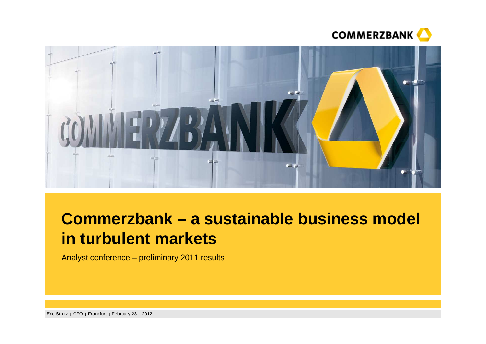



# **Commerzbank – a sustainable business model in turbulent markets**

Analyst conference – preliminary 2011 results

Eric Strutz | CFO | Frankfurt | February 23<sup>rd</sup>, 2012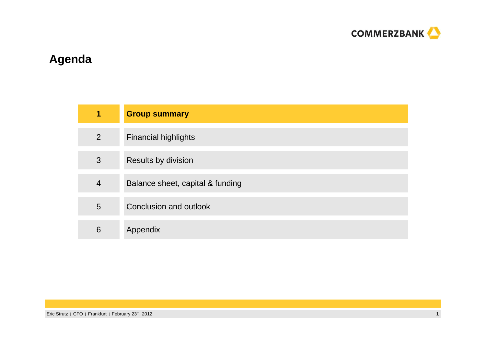

## **Agenda**

| $\blacksquare$ | <b>Group summary</b>             |
|----------------|----------------------------------|
| $\overline{2}$ | <b>Financial highlights</b>      |
| 3              | Results by division              |
| $\overline{4}$ | Balance sheet, capital & funding |
| 5              | Conclusion and outlook           |
| 6              | Appendix                         |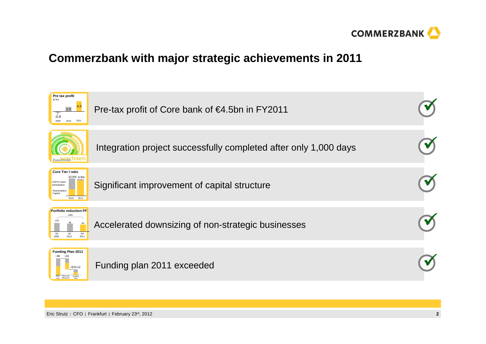

## **Commerzbank with major strategic achievements in 2011**

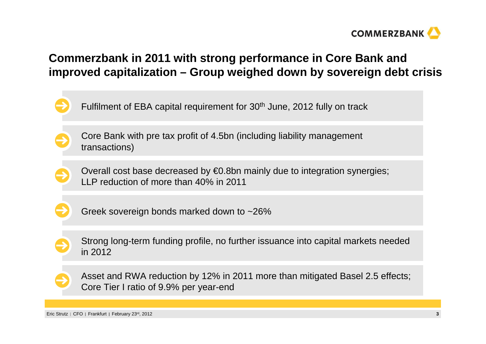

## **Commerzbank in 2011 with strong performance in Core Bank and improved capitalization – Group weighed down by sovereign debt crisis**

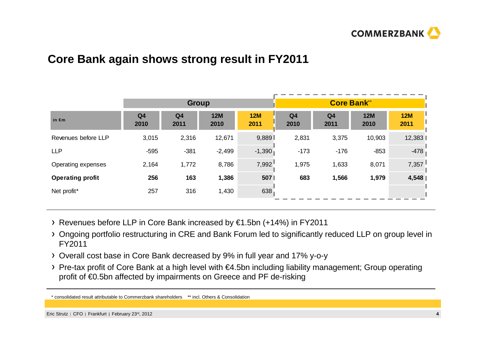

### **Core Bank again shows strong result in FY2011**

|                         |                        | <b>Group</b>           |                    |             |                        | <b>Core Bank**</b>     |                    |                    |
|-------------------------|------------------------|------------------------|--------------------|-------------|------------------------|------------------------|--------------------|--------------------|
| in $\epsilon$ m         | Q <sub>4</sub><br>2010 | Q <sub>4</sub><br>2011 | <b>12M</b><br>2010 | 12M<br>2011 | Q <sub>4</sub><br>2010 | Q <sub>4</sub><br>2011 | <b>12M</b><br>2010 | <b>12M</b><br>2011 |
| Revenues before LLP     | 3,015                  | 2,316                  | 12,671             | 9,889       | 2,831                  | 3,375                  | 10,903             | 12,383             |
| <b>LLP</b>              | $-595$                 | $-381$                 | $-2,499$           | $-1,390$    | $-173$                 | $-176$                 | $-853$             | $-478$             |
| Operating expenses      | 2,164                  | 1,772                  | 8,786              | 7,992       | 1,975                  | 1,633                  | 8,071              | 7,357              |
| <b>Operating profit</b> | 256                    | 163                    | 1,386              | 507         | 683                    | 1,566                  | 1,979              | 4,548              |
| Net profit*             | 257                    | 316                    | 1,430              | 638         |                        |                        |                    |                    |
|                         |                        |                        |                    |             |                        |                        |                    |                    |

- Revenues before LLP in Core Bank increased by €1.5bn (+14%) in FY2011
- Ongoing portfolio restructuring in CRE and Bank Forum led to significantly reduced LLP on group level in FY2011
- Overall cost base in Core Bank decreased by 9% in full year and 17% y-o-y
- Pre-tax profit of Core Bank at a high level with €4.5bn including liability management; Group operating profit of €0.5bn affected by impairments on Greece and PF de-risking
- \* consolidated result attributable to Commerzbank shareholders \*\* incl. Others & Consolidation

Eric Strutz | CFO | Frankfurt | February 23<sup>rd</sup>, 2012 **<sup>4</sup>**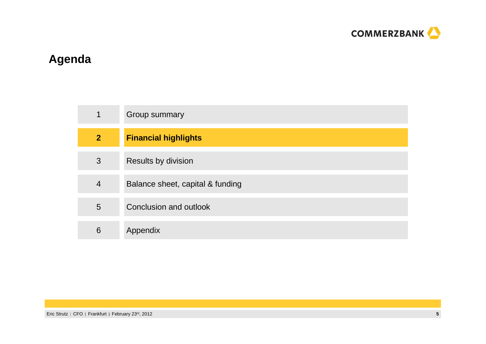

## **Agenda**

| $\mathbf 1$    | Group summary                    |
|----------------|----------------------------------|
| $\overline{2}$ | <b>Financial highlights</b>      |
| 3              | Results by division              |
| 4              | Balance sheet, capital & funding |
| 5              | Conclusion and outlook           |
| 6              | Appendix                         |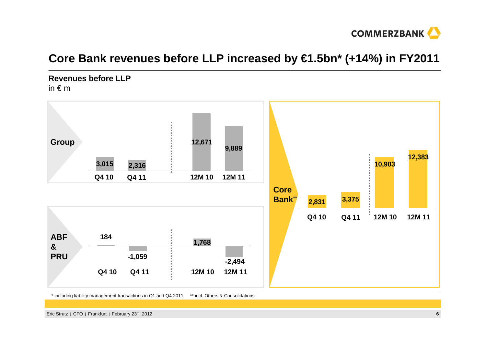

## **Core Bank revenues before LLP increased by €1.5bn\* (+14%) in FY2011**

**Revenues before LLP**in  $\epsilon$  m



\*\* incl. Others & Consolidations \* including liability management transactions in Q1 and Q4 2011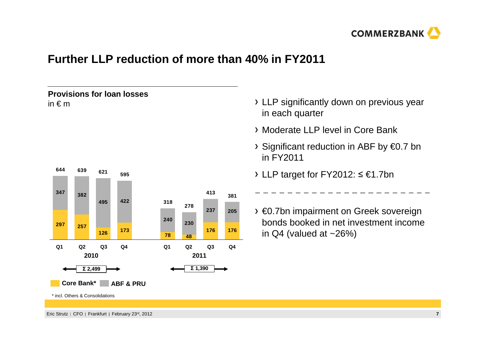

## **Further LLP reduction of more than 40% in FY2011**



- LLP significantly down on previous year in each quarter
- Moderate LLP level in Core Bank
- Significant reduction in ABF by €0.7 bnin FY2011
- LLP target for FY2012: ≤ €1.7bn
- €0.7bn impairment on Greek sovereign bonds booked in net investment income in  $Q4$  (valued at  $~26\%$ )

-----------

Eric Strutz | CFO | Frankfurt | February 23<sup>rd</sup>, 2012

**Provisions for loan losses** 

in € <sup>m</sup>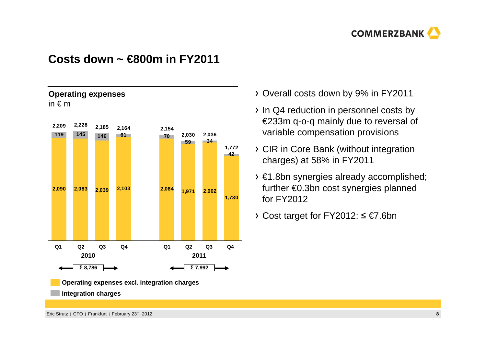

### **Costs down ~ €800m in FY2011**



**Operating expenses excl. integration charges**

**Integration charges**

**Operating expenses** 

- Overall costs down by 9% in FY2011
- In Q4 reduction in personnel costs by €233m q-o-q mainly due to reversal of variable compensation provisions
- CIR in Core Bank (without integration charges) at 58% in FY2011
- €1.8bn synergies already accomplished; further €0.3bn cost synergies planned for FY2012
- Cost target for FY2012: ≤ €7.6bn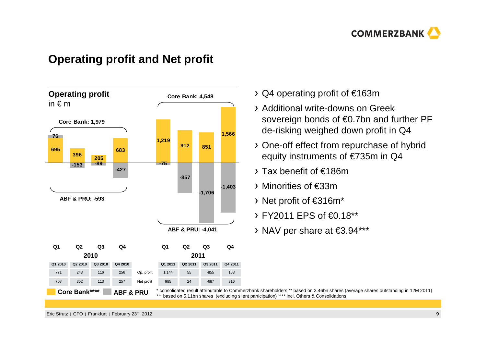

### **Operating profit and Net profit**



- Q4 operating profit of €163m
- Additional write-downs on Greek sovereign bonds of €0.7bn and further PF de-risking weighed down profit in Q4
- One-off effect from repurchase of hybrid equity instruments of €735m in Q4
- Tax benefit of €186m
- Minorities of €33m
- Net profit of €316m\*
- FY2011 EPS of €0.18\*\*
- NAV per share at €3.94\*\*\*

\* consolidated result attributable to Commerzbank shareholders \*\* based on 3.46bn shares (average shares outstanding in 12M 2011)<br>\*\*\* based on 5.11bn shares (excluding silent participation) \*\*\*\* incl. Others & Consolidatio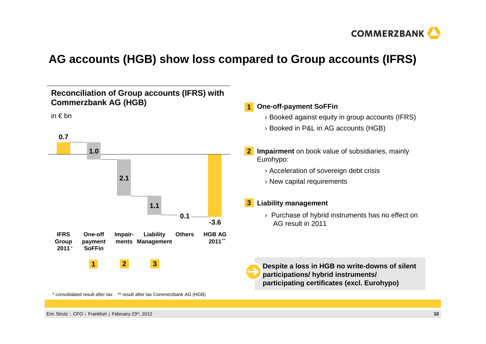

## **AG accounts (HGB) show loss compared to Group accounts (IFRS)**

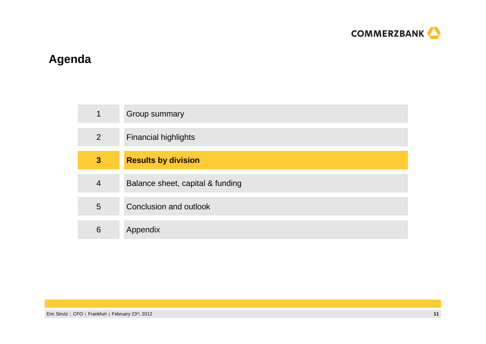

## **Agenda**

|                         | Group summary                    |
|-------------------------|----------------------------------|
| $\overline{2}$          | <b>Financial highlights</b>      |
| $\overline{\mathbf{3}}$ | <b>Results by division</b>       |
| $\overline{4}$          | Balance sheet, capital & funding |
| 5                       | Conclusion and outlook           |
| 6                       | Appendix                         |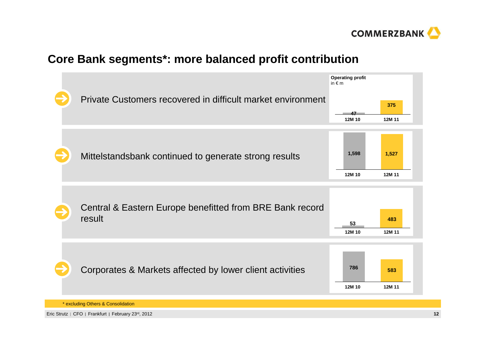

## **Core Bank segments\*: more balanced profit contribution**



Eric Strutz | CFO | Frankfurt | February 23<sup>rd</sup>, 2012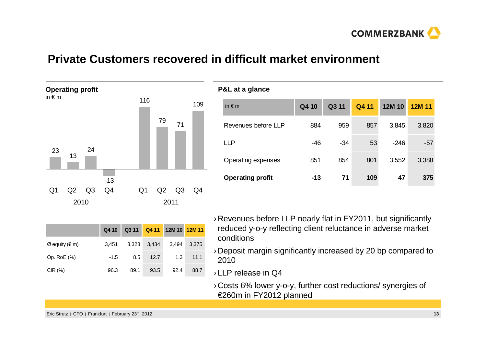

### **Private Customers recovered in difficult market environment**



|                  | Q4 10  |      |             | Q3 11 Q4 11 12M 10 12M 11 |       |
|------------------|--------|------|-------------|---------------------------|-------|
| $Ø$ equity (€ m) | 3.451  |      | 3,323 3,434 | 3.494                     | 3.375 |
| Op. RoE (%)      | $-1.5$ | 8.5  | 12.7        | 1.3                       | 11.1  |
| CIR(%)           | 96.3   | 89.1 | 93.5        | 92.4                      | 88.7  |

| in $\notin$ m           | Q4 10 | Q3 11 | Q411 | 12M 10 | 12M 11 |
|-------------------------|-------|-------|------|--------|--------|
| Revenues before LLP     | 884   | 959   | 857  | 3,845  | 3,820  |
| <b>LLP</b>              | $-46$ | $-34$ | 53   | $-246$ | -57    |
| Operating expenses      | 851   | 854   | 801  | 3,552  | 3,388  |
| <b>Operating profit</b> | $-13$ | 71    | 109  | 47     | 375    |

- › Revenues before LLP nearly flat in FY2011, but significantly reduced y-o-y reflecting client reluctance in adverse market conditions
- › Deposit margin significantly increased by 20 bp compared to 2010
- › LLP release in Q4
- › Costs 6% lower y-o-y, further cost reductions/ synergies of €260m in FY2012 planned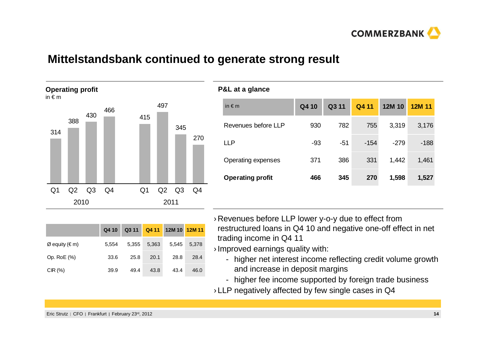

### **Mittelstandsbank continued to generate strong result**



| in $\notin$ m           | Q4 10 | Q3 11 | Q4 11  | 12M 10 | 12M 11 |
|-------------------------|-------|-------|--------|--------|--------|
| Revenues before LLP     | 930   | 782   | 755    | 3,319  | 3,176  |
| <b>LLP</b>              | $-93$ | $-51$ | $-154$ | $-279$ | $-188$ |
| Operating expenses      | 371   | 386   | 331    | 1,442  | 1,461  |
| <b>Operating profit</b> | 466   | 345   | 270    | 1,598  | 1,527  |

|                  | Q4 10 | Q3 11 |       | Q4 11 12M 10 12M 11 |       |
|------------------|-------|-------|-------|---------------------|-------|
| $Ø$ equity (€ m) | 5.554 | 5.355 | 5,363 | 5.545               | 5.378 |
| Op. RoE (%)      | 33.6  | 25.8  | 20.1  | 28.8                | 28.4  |
| CIR(%)           | 39.9  | 49.4  | 43.8  | 43.4                | 46.0  |

- › Revenues before LLP lower y-o-y due to effect from restructured loans in Q4 10 and negative one-off effect in net trading income in Q4 11
- › Improved earnings quality with:
	- higher net interest income reflecting credit volume growth and increase in deposit margins
	- higher fee income supported by foreign trade business
- $\scriptstyle\rm p$  LLP negatively affected by few single cases in Q4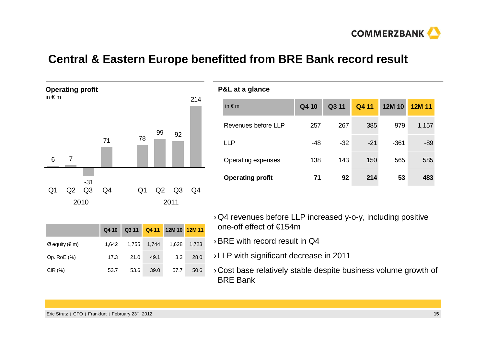

### **Central & Eastern Europe benefitted from BRE Bank record result**



|                  | Q4 10 |      |             | Q3 11 Q4 11 12M 10 12M 11 |       |
|------------------|-------|------|-------------|---------------------------|-------|
| $Ø$ equity (€ m) | 1.642 |      | 1,755 1,744 | 1,628                     | 1,723 |
| Op. RoE (%)      | 17.3  | 21.0 | 49.1        | 3.3                       | 28.0  |
| CIR(%)           | 53.7  | 53.6 | 39.0        | 57.7                      | 50.6  |

| in $\notin$ m           | Q4 10 | Q3 11 | Q4 11 | 12M 10 | 12M 11 |
|-------------------------|-------|-------|-------|--------|--------|
| Revenues before LLP     | 257   | 267   | 385   | 979    | 1,157  |
| <b>LLP</b>              | $-48$ | $-32$ | $-21$ | $-361$ | $-89$  |
| Operating expenses      | 138   | 143   | 150   | 565    | 585    |
| <b>Operating profit</b> | 71    | 92    | 214   | 53     | 483    |

- › Q4 revenues before LLP increased y-o-y, including positive one-off effect of €154m
- $\rightarrow$  BRE with record result in Q4
- › LLP with significant decrease in 2011
- › Cost base relatively stable despite business volume growth of BRE Bank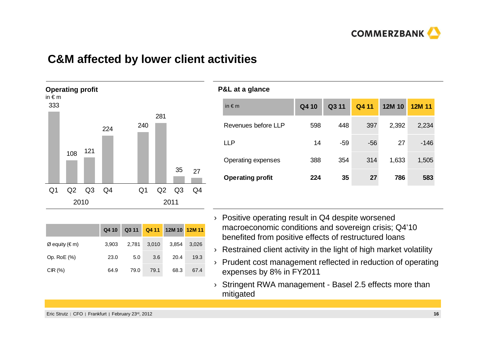

### **C&M affected by lower client activities**



|                  | Q4 10 | Q311  |       | Q4 11 12M 10 12M 11 |       |
|------------------|-------|-------|-------|---------------------|-------|
| $Ø$ equity (€ m) | 3.903 | 2.781 | 3,010 | 3.854               | 3,026 |
| Op. RoE (%)      | 23.0  | 5.0   | 3.6   | 20.4                | 19.3  |
| CIR(%)           | 64.9  | 79.0  | 79.1  | 68.3                | 67.4  |

| in $\notin$ m           | Q4 10 | Q3 11 | Q4 11 | 12M 10 | 12M 11 |
|-------------------------|-------|-------|-------|--------|--------|
| Revenues before LLP     | 598   | 448   | 397   | 2,392  | 2,234  |
| LLP                     | 14    | $-59$ | $-56$ | 27     | $-146$ |
| Operating expenses      | 388   | 354   | 314   | 1,633  | 1,505  |
| <b>Operating profit</b> | 224   | 35    | 27    | 786    | 583    |

- › Positive operating result in Q4 despite worsened macroeconomic conditions and sovereign crisis; Q4'10 benefited from positive effects of restructured loans
- $\rightarrow$  Restrained client activity in the light of high market volatility
- › Prudent cost management reflected in reduction of operating expenses by 8% in FY2011
- › Stringent RWA management Basel 2.5 effects more than mitigated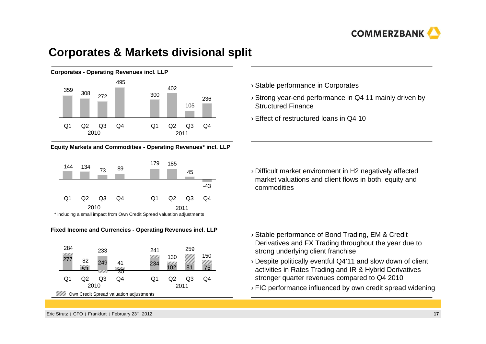

### **Corporates & Markets divisional split**



#### **Equity Markets and Commodities - Operating Revenues\* incl. LLP**







- › Stable performance in Corporates
- › Strong year-end performance in Q4 11 mainly driven by Structured Finance
- › Effect of restructured loans in Q4 10

› Difficult market environment in H2 negatively affected market valuations and client flows in both, equity and commodities

- › Stable performance of Bond Trading, EM & Credit Derivatives and FX Trading throughout the year due to strong underlying client franchise
- › Despite politically eventful Q4'11 and slow down of client activities in Rates Trading and IR & Hybrid Derivatives stronger quarter revenues compared to Q4 2010
- › FIC performance influenced by own credit spread widening

Eric Strutz | CFO | Frankfurt | February 23<sup>rd</sup>, 2012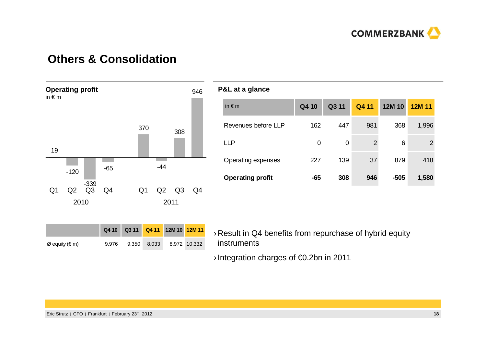

## **Others & Consolidation**



|                         | P&L at a glance     |          |       |                |        |        |
|-------------------------|---------------------|----------|-------|----------------|--------|--------|
| in $\notin$ m           |                     | Q4 10    | Q3 11 | Q4 11          | 12M 10 | 12M 11 |
|                         | Revenues before LLP | 162      | 447   | 981            | 368    | 1,996  |
| <b>LLP</b>              |                     | $\Omega$ | 0     | $\overline{2}$ | 6      | 2      |
|                         | Operating expenses  | 227      | 139   | 37             | 879    | 418    |
| <b>Operating profit</b> |                     | $-65$    | 308   | 946            | $-505$ | 1,580  |
|                         |                     |          |       |                |        |        |

|                |       | Q4 10 Q3 11 Q4 11 12M 10 12M 11 |             |              |
|----------------|-------|---------------------------------|-------------|--------------|
| Ø equity (€ m) | 9.976 |                                 | 9,350 8,033 | 8.972 10.332 |

› Result in Q4 benefits from repurchase of hybrid equity instruments

› Integration charges of €0.2bn in 2011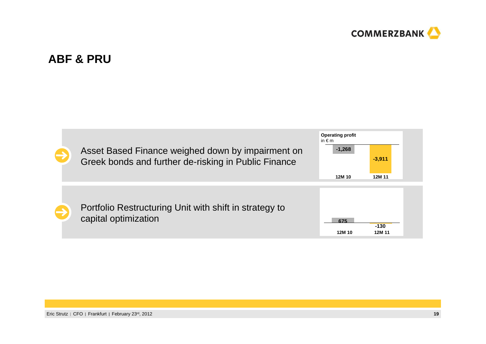

### **ABF & PRU**

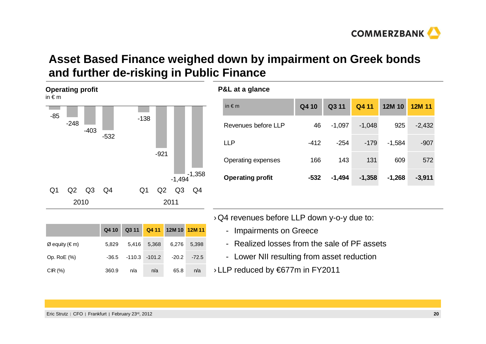## **Asset Based Finance weighed down by impairment on Greek bonds and further de-risking in Public Finance**

**P&L at a glance**

| г.<br>in $\epsilon$ m | ייז פיייניי |        |        |                |        |                |          |
|-----------------------|-------------|--------|--------|----------------|--------|----------------|----------|
| $-85$                 | $-248$      | $-403$ | $-532$ | $-138$         |        |                |          |
|                       |             |        |        |                | $-921$ |                |          |
|                       |             |        |        |                |        | $-1,494$       | $-1,358$ |
| Q <sub>1</sub>        | Q2          | Q3     | Q4     | Q <sub>1</sub> | Q2     | Q <sub>3</sub> | Q4       |
|                       | 2010        |        |        |                | 2011   |                |          |

 $\varnothing$  equity (€ m)  $5,829$   $5,416$   $5,368$   $6,276$   $5,398$ 

Op. RoE (%) -36.5 -110.3 -101.2 -20.2 -72.5

CIR (%) 360.9 n/a n/a 65.8 n/a

**Q4 10 Q3 11 Q4 11 12M 10 12M 11**

**Operating profit**

| <b>F&amp;L at a giance</b> |        |          |          |          |          |
|----------------------------|--------|----------|----------|----------|----------|
| in $\notin$ m              | Q4 10  | Q3 11    | Q4 11    | 12M 10   | 12M 11   |
| Revenues before LLP        | 46     | $-1,097$ | $-1,048$ | 925      | $-2,432$ |
| <b>LLP</b>                 | $-412$ | $-254$   | $-179$   | $-1,584$ | $-907$   |
| Operating expenses         | 166    | 143      | 131      | 609      | 572      |
| <b>Operating profit</b>    | $-532$ | $-1,494$ | $-1,358$ | $-1,268$ | $-3,911$ |
|                            |        |          |          |          |          |

- › Q4 revenues before LLP down y-o-y due to:
	- Impairments on Greece
	- Realized losses from the sale of PF assets
	- Lower NII resulting from asset reduction
- › LLP reduced by €677m in FY2011

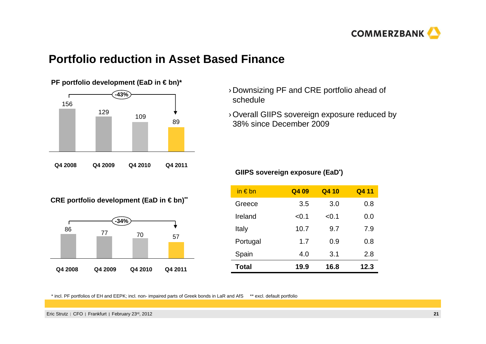

### **Portfolio reduction in Asset Based Finance**



- › Downsizing PF and CRE portfolio ahead of schedule
- › Overall GIIPS sovereign exposure reduced by 38% since December 2009

## **GIIPS** sovereign exposure (EaD<sup>\*</sup>)

**CRE portfolio development (EaD in € bn)\*\*** 



| in $\epsilon$ bn | Q4 09 | Q4 10 | Q4 11 |
|------------------|-------|-------|-------|
| Greece           | 3.5   | 3.0   | 0.8   |
| Ireland          | < 0.1 | < 0.1 | 0.0   |
| Italy            | 10.7  | 9.7   | 7.9   |
| Portugal         | 1.7   | 0.9   | 0.8   |
| Spain            | 4.0   | 3.1   | 2.8   |
| <b>Total</b>     | 19.9  | 16.8  | 12.3  |

\* incl. PF portfolios of EH and EEPK; incl. non- impaired parts of Greek bonds in LaR and AfS \*\* excl. default portfolio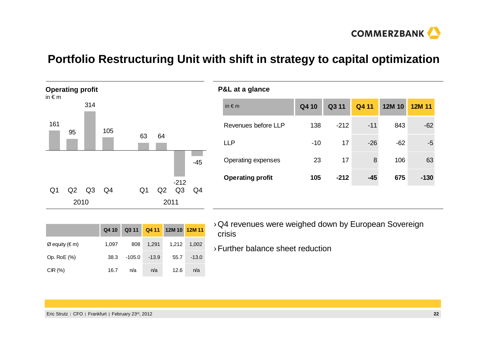

## **Portfolio Restructuring Unit with shift in strategy to capital optimization**



| ັ                       |       |        |       |        |        |
|-------------------------|-------|--------|-------|--------|--------|
| in $\notin$ m           | Q4 10 | Q3 11  | Q4 11 | 12M 10 | 12M 11 |
| Revenues before LLP     | 138   | $-212$ | $-11$ | 843    | $-62$  |
| <b>LLP</b>              | $-10$ | 17     | $-26$ | $-62$  | -5     |
| Operating expenses      | 23    | 17     | 8     | 106    | 63     |
| <b>Operating profit</b> | 105   | $-212$ | $-45$ | 675    | $-130$ |
|                         |       |        |       |        |        |

|                | Q4 10 |          |         | Q3 11  Q4 11  12M 10  12M 11 |         |
|----------------|-------|----------|---------|------------------------------|---------|
| Ø equity (€ m) | 1.097 | 808      | 1,291   | 1,212                        | 1,002   |
| Op. RoE (%)    | 38.3  | $-105.0$ | $-13.9$ | 55.7                         | $-13.0$ |
| CIR(%)         | 16.7  | n/a      | n/a     | 12.6                         | n/a     |

- › Q4 revenues were weighed down by European Sovereign crisis
- › Further balance sheet reduction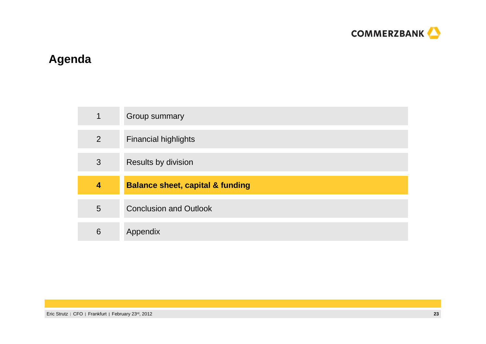

## **Agenda**

| $\mathbf 1$ | Group summary                               |
|-------------|---------------------------------------------|
| 2           | <b>Financial highlights</b>                 |
| 3           | Results by division                         |
|             |                                             |
| 4           | <b>Balance sheet, capital &amp; funding</b> |
| 5           | <b>Conclusion and Outlook</b>               |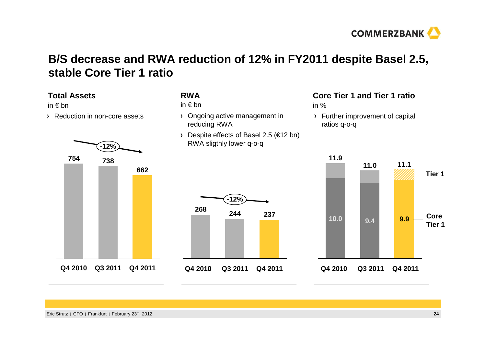

## **B/S decrease and RWA reduction of 12% in FY2011 despite Basel 2.5, stable Core Tier 1 ratio**

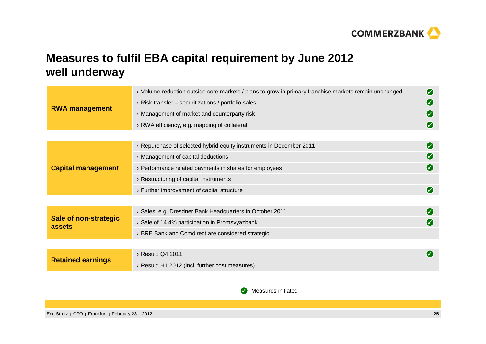

## **Measures to fulfil EBA capital requirement by June 2012well underway**

|                                        | > Volume reduction outside core markets / plans to grow in primary franchise markets remain unchanged | Ø             |
|----------------------------------------|-------------------------------------------------------------------------------------------------------|---------------|
|                                        | $\rightarrow$ Risk transfer – securitizations / portfolio sales                                       | Ø             |
| <b>RWA management</b>                  | $\rightarrow$ Management of market and counterparty risk                                              | Ø             |
|                                        | > RWA efficiency, e.g. mapping of collateral                                                          | <b>32</b>     |
|                                        |                                                                                                       |               |
|                                        | > Repurchase of selected hybrid equity instruments in December 2011                                   | <b>3</b>      |
|                                        | > Management of capital deductions                                                                    | Ø             |
| <b>Capital management</b>              | $\rightarrow$ Performance related payments in shares for employees                                    | <b>3</b>      |
|                                        | $\rightarrow$ Restructuring of capital instruments                                                    |               |
|                                        | $\rightarrow$ Further improvement of capital structure                                                | Ø             |
|                                        |                                                                                                       |               |
|                                        | > Sales, e.g. Dresdner Bank Headquarters in October 2011                                              | $\mathcal{S}$ |
| <b>Sale of non-strategic</b><br>assets | > Sale of 14.4% participation in Promsvyazbank                                                        |               |
|                                        | BRE Bank and Comdirect are considered strategic                                                       |               |
|                                        |                                                                                                       |               |
| <b>Retained earnings</b>               | > Result: Q4 2011                                                                                     |               |
|                                        | > Result: H1 2012 (incl. further cost measures)                                                       |               |

**Measures initiated**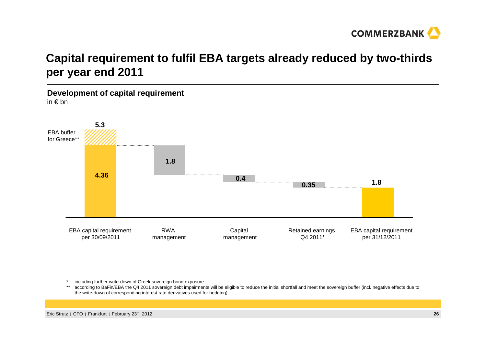

## **Capital requirement to fulfil EBA targets already reduced by two-thirds per year end 2011**

**Development of capital requirement**in € bn



including further write-down of Greek sovereign bond exposure

\*\* according to BaFin/EBA the Q4 2011 sovereign debt impairments will be eligible to reduce the initial shortfall and meet the sovereign buffer (incl. negative effects due to the write-down of corresponding interest rate derivatives used for hedging).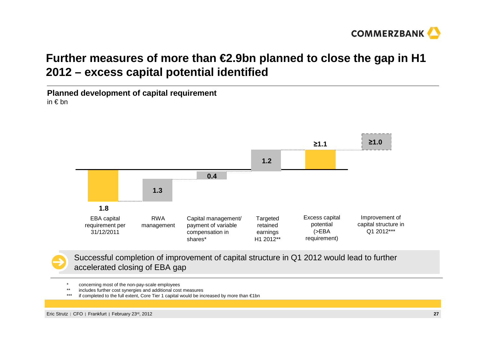

## **Further measures of more than €2.9bn planned to close the gap in H1 2012 – excess capital potential identified**

**Planned development of capital requirement**in € bn



Successful completion of improvement of capital structure in Q1 2012 would lead to furtheraccelerated closing of EBA gap

- \* concerning most of the non-pay-scale employees<br>\*\* includes further cost eventories and additional cost
- \*\* includes further cost synergies and additional cost measures
- \*\*\* if completed to the full extent, Core Tier 1 capital would be increased by more than €1bn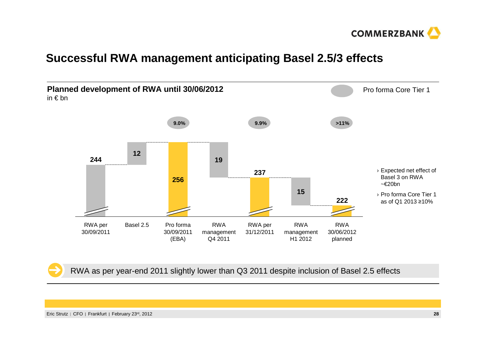

## **Successful RWA management anticipating Basel 2.5/3 effects**



RWA as per year-end 2011 slightly lower than Q3 2011 despite inclusion of Basel 2.5 effects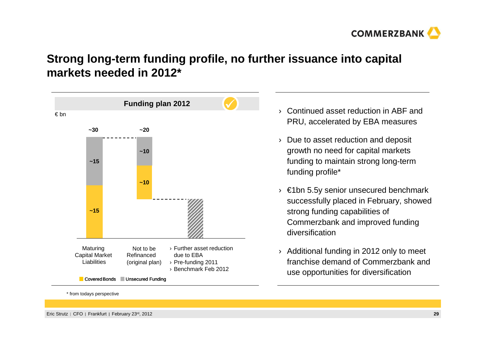

## **Strong long-term funding profile, no further issuance into capital markets needed in 2012\***



\* from todays perspective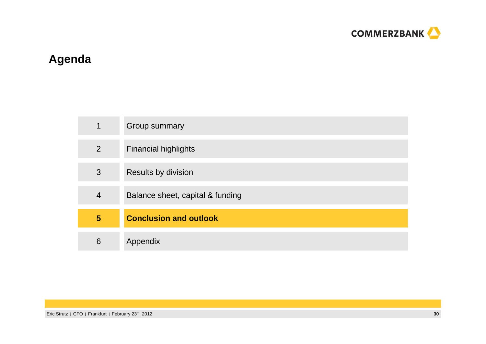

## **Agenda**

| 4              | Group summary                    |
|----------------|----------------------------------|
| $\overline{2}$ | <b>Financial highlights</b>      |
| 3              | Results by division              |
| 4              | Balance sheet, capital & funding |
| 5              | <b>Conclusion and outlook</b>    |
| 6              | Appendix                         |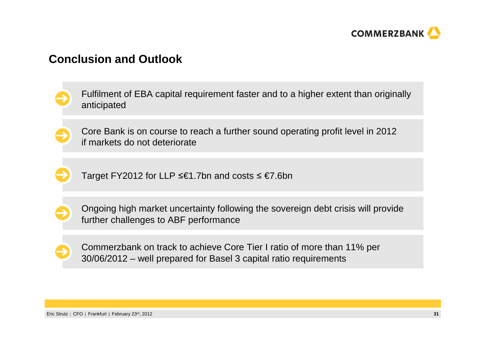

### **Conclusion and Outlook**

Fulfilment of EBA capital requirement faster and to a higher extent than originally anticipated

Core Bank is on course to reach a further sound operating profit level in 2012 if markets do not deteriorate



Target FY2012 for LLP ≤€1.7bn and costs ≤ €7.6bn



Ongoing high market uncertainty following the sovereign debt crisis will provide further challenges to ABF performance

Commerzbank on track to achieve Core Tier I ratio of more than 11% per 30/06/2012 – well prepared for Basel 3 capital ratio requirements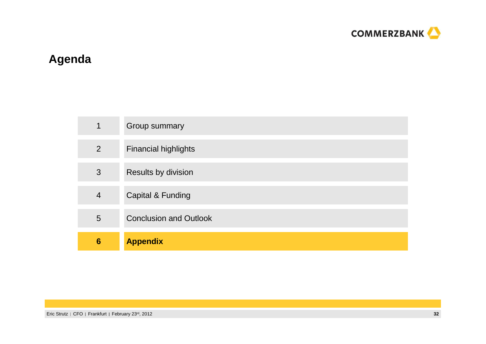

## **Agenda**

| 4               | Group summary                 |
|-----------------|-------------------------------|
| 2               | <b>Financial highlights</b>   |
| 3               | Results by division           |
| $\overline{4}$  | Capital & Funding             |
| 5               | <b>Conclusion and Outlook</b> |
| $6\phantom{1}6$ | <b>Appendix</b>               |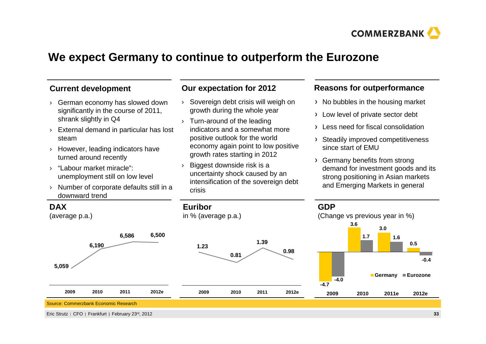

## **We expect Germany to continue to outperform the Eurozone**

#### **Current development**

- › German economy has slowed down significantly in the course of 2011, shrank slightly in Q4
- › External demand in particular has lost steam
- › However, leading indicators have turned around recently
- › "Labour market miracle": unemployment still on low level
- › Number of corporate defaults still in a downward trend

#### **Our expectation for 2012**

- › Sovereign debt crisis will weigh on growth during the whole year
- › Turn-around of the leading indicators and a somewhat more positive outlook for the world economy again point to low positive growth rates starting in 2012
- › Biggest downside risk is a uncertainty shock caused by an intensification of the sovereign debt crisis

#### **Reasons for outperformance**

- $\rightarrow$  No bubbles in the housing market
- > Low level of private sector debt
- Less need for fiscal consolidation
- > Steadily improved competitiveness since start of EMU
- Germany benefits from strong demand for investment goods and its strong positioning in Asian markets and Emerging Markets in general



Eric Strutz | CFO | Frankfurt | February 23<sup>rd</sup>, 2012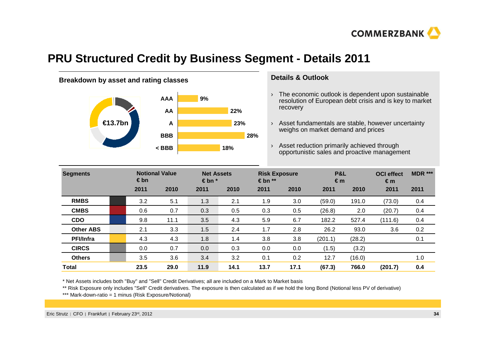

## **PRU Structured Credit by Business Segment - Details 2011**



#### **Details & Outlook**

- $\rightarrow$  The economic outlook is dependent upon sustainable resolution of European debt crisis and is key to market recovery
- › Asset fundamentals are stable, however uncertaintyweighs on market demand and prices

› Asset reduction primarily achieved through opportunistic sales and proactive management **< BBB 18%**

| <b>Segments</b>  | <b>Notional Value</b><br>$\epsilon$ bn |      | <b>Net Assets</b><br>$\epsilon$ bn $*$ |      | <b>Risk Exposure</b><br>$\epsilon$ bn $**$ |      | P&L<br>€m |        | <b>OCI</b> effect<br>$\epsilon$ m | <b>MDR ***</b> |
|------------------|----------------------------------------|------|----------------------------------------|------|--------------------------------------------|------|-----------|--------|-----------------------------------|----------------|
|                  | 2011                                   | 2010 | 2011                                   | 2010 | 2011                                       | 2010 | 2011      | 2010   | 2011                              | 2011           |
| <b>RMBS</b>      | 3.2                                    | 5.1  | 1.3                                    | 2.1  | 1.9                                        | 3.0  | (59.0)    | 191.0  | (73.0)                            | 0.4            |
| <b>CMBS</b>      | 0.6                                    | 0.7  | 0.3                                    | 0.5  | 0.3                                        | 0.5  | (26.8)    | 2.0    | (20.7)                            | 0.4            |
| <b>CDO</b>       | 9.8                                    | 11.1 | 3.5                                    | 4.3  | 5.9                                        | 6.7  | 182.2     | 527.4  | (111.6)                           | 0.4            |
| <b>Other ABS</b> | 2.1                                    | 3.3  | 1.5                                    | 2.4  | 1.7                                        | 2.8  | 26.2      | 93.0   | 3.6                               | 0.2            |
| <b>PFI/Infra</b> | 4.3                                    | 4.3  | 1.8                                    | 1.4  | 3.8                                        | 3.8  | (201.1)   | (28.2) |                                   | 0.1            |
| <b>CIRCS</b>     | 0.0                                    | 0.7  | 0.0                                    | 0.3  | 0.0                                        | 0.0  | (1.5)     | (3.2)  |                                   |                |
| <b>Others</b>    | 3.5                                    | 3.6  | 3.4                                    | 3.2  | 0.1                                        | 0.2  | 12.7      | (16.0) |                                   | 1.0            |
| <b>Total</b>     | 23.5                                   | 29.0 | 11.9                                   | 14.1 | 13.7                                       | 17.1 | (67.3)    | 766.0  | (201.7)                           | 0.4            |

\* Net Assets includes both "Buy" and "Sell" Credit Derivatives; all are included on a Mark to Market basis

\*\* Risk Exposure only includes "Sell" Credit derivatives. The exposure is then calculated as if we hold the long Bond (Notional less PV of derivative)

\*\*\* Mark-down-ratio = 1 minus (Risk Exposure/Notional)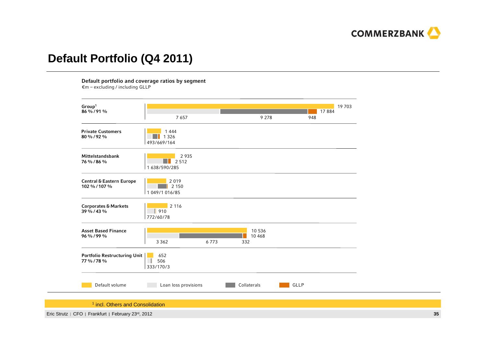

## **Default Portfolio (Q4 2011)**

Default portfolio and coverage ratios by segment

€m – excluding / including GLLP



<sup>1</sup> incl. Others and Consolidation

Eric Strutz | CFO | Frankfurt | February 23<sup>rd</sup>, 2012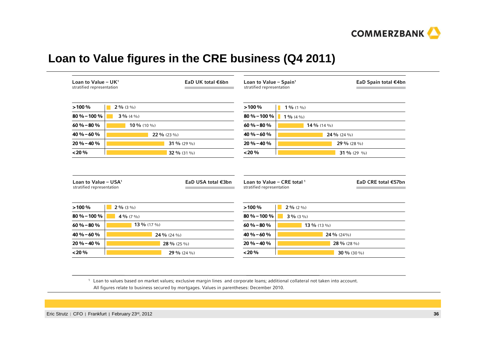

## **Loan to Value figures in the CRE business (Q4 2011)**

| Loan to Value - $UK1$<br>stratified representation                                                                         | EaD UK total €6bn            |                    | Loan to Value - Spain <sup>1</sup><br>stratified representation     |                      | EaD Spain total €4bn |
|----------------------------------------------------------------------------------------------------------------------------|------------------------------|--------------------|---------------------------------------------------------------------|----------------------|----------------------|
| >100%                                                                                                                      | $2\frac{9}{6}$ (3 %)         |                    | >100%                                                               | $1\%$ (1 %)          |                      |
| $80\% - 100\%$                                                                                                             | $3\frac{9}{6}(4\frac{9}{6})$ |                    | $80\% - 100\%$                                                      | $1\%$ (4 %)          |                      |
| $60\% - 80\%$                                                                                                              | 10 % (10 %)                  |                    | $60\% - 80\%$                                                       | 14 % (14 %)          |                      |
| $40\% - 60\%$                                                                                                              | 22 % (23 %)                  |                    | $40\% - 60\%$                                                       |                      | 24 % (24 %)          |
| $20\% - 40\%$                                                                                                              |                              | 31 % (29 %)        | $20\% - 40\%$                                                       |                      | 29 % (28 %)          |
|                                                                                                                            |                              |                    | < 20%                                                               |                      | 31 % (29 %)          |
|                                                                                                                            |                              | 32 % (31 %)        |                                                                     |                      |                      |
|                                                                                                                            |                              | EaD USA total €3bn | Loan to Value - CRE total <sup>1</sup><br>stratified representation |                      | EaD CRE total €57bn  |
|                                                                                                                            | $2\frac{9}{6}$ (3 %)         |                    | >100%                                                               | $2\frac{9}{6}$ (2 %) |                      |
|                                                                                                                            | 4 % $(7\%$                   |                    | $80\% - 100\%$                                                      | $3\frac{9}{6}$ (3 %) |                      |
|                                                                                                                            | 13 % (17 %)                  |                    | $60\% - 80\%$                                                       | 13 % (13 %)          |                      |
| < 20 %<br>Loan to Value - $USA1$<br>stratified representation<br>>100%<br>$80\% - 100\%$<br>$60\% - 80\%$<br>$40\% - 60\%$ | 24 % (24 %)                  |                    | $40\% - 60\%$                                                       |                      | 24 % (24%)           |
| $20\% - 40\%$                                                                                                              |                              | 28 % (25 %)        | $20 \% - 40 \%$                                                     |                      | 28 % (28 %)          |

1 Loan to values based on market values; exclusive margin lines and corporate loans; additional collateral not taken into account. All figures relate to business secured by mortgages. Values in parentheses: December 2010.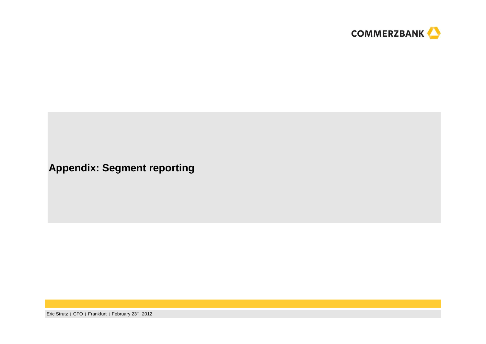

**Appendix: Segment reporting**

Eric Strutz | CFO | Frankfurt | February 23<sup>rd</sup>, 2012 **<sup>37</sup>**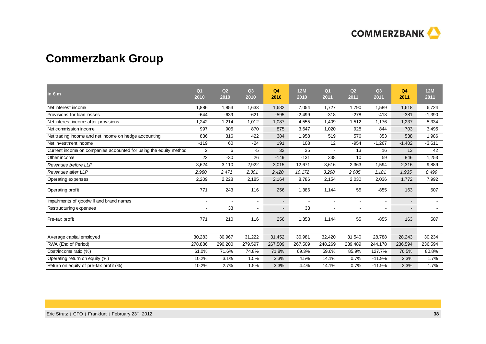

## **Commerzbank Group**

| $\mathsf{in} \in \mathsf{m}$                                      | Q <sub>1</sub><br>2010 | Q2<br>2010 | Q <sub>3</sub><br>2010   | Q4<br>2010               | <b>12M</b><br>2010 | Q <sub>1</sub><br>2011 | Q2<br>2011     | Q3<br>2011     | Q <sub>4</sub><br>2011 | 12M<br>2011 |
|-------------------------------------------------------------------|------------------------|------------|--------------------------|--------------------------|--------------------|------------------------|----------------|----------------|------------------------|-------------|
| Net interest income                                               | 1,886                  | 1.853      | 1.633                    | 1.682                    | 7.054              | 1.727                  | 1,790          | 1.589          | 1.618                  | 6.724       |
| Provisions for loan losses                                        | $-644$                 | $-639$     | $-621$                   | $-595$                   | $-2,499$           | $-318$                 | $-278$         | $-413$         | $-381$                 | $-1,390$    |
| Net interest income after provisions                              | 1,242                  | 1,214      | 1,012                    | 1,087                    | 4,555              | 1,409                  | 1,512          | 1,176          | 1,237                  | 5,334       |
| Net commission income                                             | 997                    | 905        | 870                      | 875                      | 3,647              | 1,020                  | 928            | 844            | 703                    | 3,495       |
| Net trading income and net income on hedge accounting             | 836                    | 316        | 422                      | 384                      | 1,958              | 519                    | 576            | 353            | 538                    | 1,986       |
| Net investment income                                             | $-119$                 | 60         | $-24$                    | 191                      | 108                | 12                     | $-954$         | $-1,267$       | $-1,402$               | $-3,611$    |
| Current income on companies accounted for using the equity method | 2                      | 6          | -5                       | 32                       | 35                 | $\mathbf{r}$           | 13             | 16             | 13                     | 42          |
| Other income                                                      | 22                     | $-30$      | 26                       | $-149$                   | $-131$             | 338                    | 10             | 59             | 846                    | 1,253       |
| Revenues before LLP                                               | 3,624                  | 3.110      | 2,922                    | 3,015                    | 12,671             | 3,616                  | 2,363          | 1,594          | 2,316                  | 9,889       |
| Revenues after LLP                                                | 2,980                  | 2,471      | 2,301                    | 2,420                    | 10,172             | 3,298                  | 2,085          | 1,181          | 1,935                  | 8,499       |
| Operating expenses                                                | 2,209                  | 2,228      | 2,185                    | 2,164                    | 8,786              | 2,154                  | 2,030          | 2,036          | 1,772                  | 7,992       |
| Operating profit                                                  | 771                    | 243        | 116                      | 256                      | 1,386              | 1,144                  | 55             | $-855$         | 163                    | 507         |
| Impairments of goodwill and brand names                           |                        |            | $\blacksquare$           | $\blacksquare$           |                    | $\blacksquare$         | $\blacksquare$ | $\blacksquare$ | $\sim$                 |             |
| Restructuring expenses                                            |                        | 33         | $\overline{\phantom{a}}$ | $\overline{\phantom{a}}$ | 33                 | ۰                      | ۰              |                |                        |             |
| Pre-tax profit                                                    | 771                    | 210        | 116                      | 256                      | 1,353              | 1,144                  | 55             | $-855$         | 163                    | 507         |
|                                                                   |                        |            |                          |                          |                    |                        |                |                |                        |             |
| Average capital employed                                          | 30,283                 | 30,967     | 31,222                   | 31,452                   | 30,981             | 32,420                 | 31,540         | 28,788         | 28,243                 | 30,234      |
| RWA (End of Period)                                               | 278,886                | 290,200    | 279,597                  | 267,509                  | 267,509            | 248,269                | 239,489        | 244,178        | 236,594                | 236,594     |
| Cost/income ratio (%)                                             | 61.0%                  | 71.6%      | 74.8%                    | 71.8%                    | 69.3%              | 59.6%                  | 85.9%          | 127.7%         | 76.5%                  | 80.8%       |
| Operating return on equity (%)                                    | 10.2%                  | 3.1%       | 1.5%                     | 3.3%                     | 4.5%               | 14.1%                  | 0.7%           | $-11.9%$       | 2.3%                   | 1.7%        |
| Return on equity of pre-tax profit (%)                            | 10.2%                  | 2.7%       | 1.5%                     | 3.3%                     | 4.4%               | 14.1%                  | 0.7%           | $-11.9%$       | 2.3%                   | 1.7%        |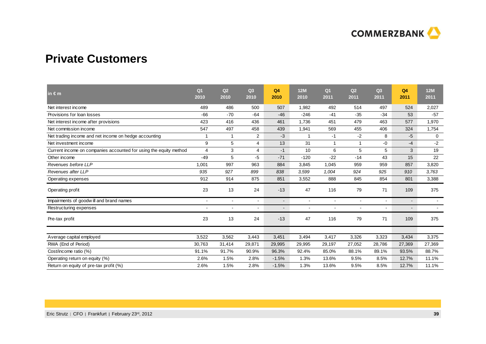

## **Private Customers**

| $in \in m$                                                        | Q <sub>1</sub><br>2010   | Q2<br>2010               | Q3<br>2010     | Q <sub>4</sub><br>2010   | <b>12M</b><br>2010       | Q <sub>1</sub><br>2011 | Q2<br>2011     | Q3<br>2011 | Q4<br>2011     | <b>12M</b><br>2011 |
|-------------------------------------------------------------------|--------------------------|--------------------------|----------------|--------------------------|--------------------------|------------------------|----------------|------------|----------------|--------------------|
| Net interest income                                               | 489                      | 486                      | 500            | 507                      | 1,982                    | 492                    | 514            | 497        | 524            | 2,027              |
| Provisions for loan losses                                        | -66                      | $-70$                    | $-64$          | $-46$                    | $-246$                   | $-41$                  | $-35$          | $-34$      | 53             | $-57$              |
| Net interest income after provisions                              | 423                      | 416                      | 436            | 461                      | 1,736                    | 451                    | 479            | 463        | 577            | 1,970              |
| Net commission income                                             | 547                      | 497                      | 458            | 439                      | 1,941                    | 569                    | 455            | 406        | 324            | 1,754              |
| Net trading income and net income on hedge accounting             | $\mathbf 1$              | 1                        | $\overline{2}$ | $-3$                     | -1                       | $-1$                   | $-2$           | 8          | $-5$           | $\mathbf 0$        |
| Net investment income                                             | 9                        | 5                        | 4              | 13                       | 31                       | $\mathbf{1}$           | 1              | $-0$       | -4             | $-2$               |
| Current income on companies accounted for using the equity method | $\overline{4}$           | 3                        | 4              | $-1$                     | 10                       | 6                      | 5              | 5          | 3              | 19                 |
| Other income                                                      | $-49$                    | 5                        | -5             | $-71$                    | $-120$                   | $-22$                  | $-14$          | 43         | 15             | 22                 |
| Revenues before LLP                                               | 1,001                    | 997                      | 963            | 884                      | 3,845                    | 1,045                  | 959            | 959        | 857            | 3,820              |
| Revenues after LLP                                                | 935                      | 927                      | 899            | 838                      | 3,599                    | 1,004                  | 924            | 925        | 910            | 3,763              |
| Operating expenses                                                | 912                      | 914                      | 875            | 851                      | 3,552                    | 888                    | 845            | 854        | 801            | 3,388              |
| Operating profit                                                  | 23                       | 13                       | 24             | $-13$                    | 47                       | 116                    | 79             | 71         | 109            | 375                |
| Impairments of goodwill and brand names                           |                          | $\overline{\phantom{a}}$ | $\blacksquare$ | $\overline{\phantom{a}}$ | $\overline{\phantom{a}}$ | $\blacksquare$         | $\blacksquare$ |            | $\sim$         |                    |
| Restructuring expenses                                            | $\overline{\phantom{a}}$ |                          | $\blacksquare$ | $\overline{\phantom{a}}$ |                          | $\blacksquare$         | $\blacksquare$ |            | $\blacksquare$ |                    |
| Pre-tax profit                                                    | 23                       | 13                       | 24             | $-13$                    | 47                       | 116                    | 79             | 71         | 109            | 375                |
|                                                                   |                          | 3,562                    |                | 3,451                    | 3,494                    |                        | 3,326          |            | 3,434          |                    |
| Average capital employed                                          | 3,522                    |                          | 3,443          |                          |                          | 3,417                  |                | 3,323      |                | 3,375              |
| RWA (End of Period)                                               | 30,763                   | 31,414                   | 29,871         | 29,995                   | 29,995                   | 29,197                 | 27,052         | 28,786     | 27,369         | 27,369             |
| Cost/income ratio (%)                                             | 91.1%                    | 91.7%                    | 90.9%          | 96.3%                    | 92.4%                    | 85.0%                  | 88.1%          | 89.1%      | 93.5%          | 88.7%              |
| Operating return on equity (%)                                    | 2.6%                     | 1.5%                     | 2.8%           | $-1.5%$                  | 1.3%                     | 13.6%                  | 9.5%           | 8.5%       | 12.7%          | 11.1%              |
| Return on equity of pre-tax profit (%)                            | 2.6%                     | 1.5%                     | 2.8%           | $-1.5%$                  | 1.3%                     | 13.6%                  | 9.5%           | 8.5%       | 12.7%          | 11.1%              |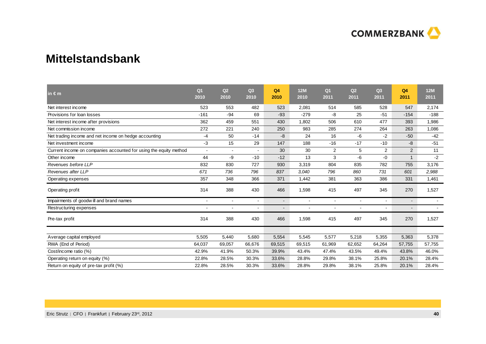

### **Mittelstandsbank**

| in $\epsilon$ m                                                   | Q <sub>1</sub><br>2010 | Q2<br>2010     | Q <sub>3</sub><br>2010   | Q <sub>4</sub><br>2010   | <b>12M</b><br>2010 | Q <sub>1</sub><br>2011 | Q2<br>2011     | Q3<br>2011 | Q <sub>4</sub><br>2011   | <b>12M</b><br>2011 |
|-------------------------------------------------------------------|------------------------|----------------|--------------------------|--------------------------|--------------------|------------------------|----------------|------------|--------------------------|--------------------|
| Net interest income                                               | 523                    | 553            | 482                      | 523                      | 2,081              | 514                    | 585            | 528        | 547                      | 2,174              |
| Provisions for loan losses                                        | $-161$                 | $-94$          | 69                       | $-93$                    | $-279$             | -8                     | 25             | $-51$      | $-154$                   | $-188$             |
| Net interest income after provisions                              | 362                    | 459            | 551                      | 430                      | 1.802              | 506                    | 610            | 477        | 393                      | 1.986              |
| Net commission income                                             | 272                    | 221            | 240                      | 250                      | 983                | 285                    | 274            | 264        | 263                      | 1,086              |
| Net trading income and net income on hedge accounting             | $-4$                   | 50             | $-14$                    | -8                       | 24                 | 16                     | $-6$           | $-2$       | $-50$                    | $-42$              |
| Net investment income                                             | $-3$                   | 15             | 29                       | 147                      | 188                | $-16$                  | $-17$          | $-10$      | -8                       | $-51$              |
| Current income on companies accounted for using the equity method | $\sim$                 | $\blacksquare$ |                          | 30                       | 30                 | $\overline{2}$         | 5              | 2          | $\overline{2}$           | 11                 |
| Other income                                                      | 44                     | $-9$           | $-10$                    | $-12$                    | 13                 | 3                      | $-6$           | $-0$       | $\mathbf{1}$             | $-2$               |
| Revenues before LLP                                               | 832                    | 830            | 727                      | 930                      | 3,319              | 804                    | 835            | 782        | 755                      | 3,176              |
| Revenues after LLP                                                | 671                    | 736            | 796                      | 837                      | 3,040              | 796                    | 860            | 731        | 601                      | 2,988              |
| Operating expenses                                                | 357                    | 348            | 366                      | 371                      | 1,442              | 381                    | 363            | 386        | 331                      | 1,461              |
| Operating profit                                                  | 314                    | 388            | 430                      | 466                      | 1,598              | 415                    | 497            | 345        | 270                      | 1,527              |
| Impairments of goodwill and brand names                           |                        | $\blacksquare$ | $\overline{\phantom{a}}$ | $\overline{\phantom{a}}$ |                    | $\blacksquare$         | $\blacksquare$ |            | $\overline{\phantom{a}}$ |                    |
| Restructuring expenses                                            |                        | ۰              |                          | $\overline{\phantom{a}}$ |                    | $\blacksquare$         | $\blacksquare$ |            | $\overline{\phantom{a}}$ |                    |
| Pre-tax profit                                                    | 314                    | 388            | 430                      | 466                      | 1,598              | 415                    | 497            | 345        | 270                      | 1,527              |
|                                                                   |                        |                |                          |                          |                    |                        |                |            |                          |                    |
| Average capital employed                                          | 5,505                  | 5,440          | 5,680                    | 5,554                    | 5,545              | 5,577                  | 5,218          | 5,355      | 5,363                    | 5,378              |
| RWA (End of Period)                                               | 64,037                 | 69,057         | 66,676                   | 69,515                   | 69,515             | 61,969                 | 62,652         | 64,264     | 57,755                   | 57,755             |
| Cost/income ratio (%)                                             | 42.9%                  | 41.9%          | 50.3%                    | 39.9%                    | 43.4%              | 47.4%                  | 43.5%          | 49.4%      | 43.8%                    | 46.0%              |
| Operating return on equity (%)                                    | 22.8%                  | 28.5%          | 30.3%                    | 33.6%                    | 28.8%              | 29.8%                  | 38.1%          | 25.8%      | 20.1%                    | 28.4%              |
| Return on equity of pre-tax profit (%)                            | 22.8%                  | 28.5%          | 30.3%                    | 33.6%                    | 28.8%              | 29.8%                  | 38.1%          | 25.8%      | 20.1%                    | 28.4%              |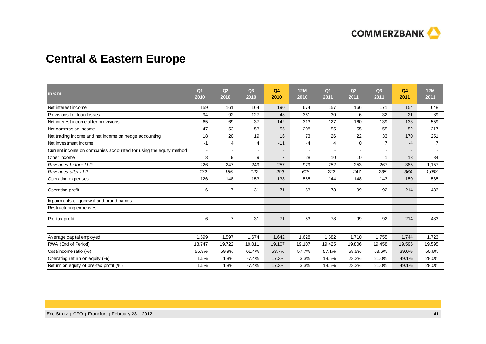

## **Central & Eastern Europe**

| in $\epsilon$ m                                                   | Q <sub>1</sub><br>2010 | Q2<br>2010     | Q3<br>2010     | Q <sub>4</sub><br>2010   | 12M<br>2010              | Q <sub>1</sub><br>2011 | Q2<br>2011               | Q3<br>2011               | Q4<br>2011 | <b>12M</b><br>2011       |
|-------------------------------------------------------------------|------------------------|----------------|----------------|--------------------------|--------------------------|------------------------|--------------------------|--------------------------|------------|--------------------------|
| Net interest income                                               | 159                    | 161            | 164            | 190                      | 674                      | 157                    | 166                      | 171                      | 154        | 648                      |
| Provisions for loan losses                                        | -94                    | $-92$          | $-127$         | $-48$                    | $-361$                   | $-30$                  | -6                       | $-32$                    | $-21$      | $-89$                    |
| Net interest income after provisions                              | 65                     | 69             | 37             | 142                      | 313                      | 127                    | 160                      | 139                      | 133        | 559                      |
| Net commission income                                             | 47                     | 53             | 53             | 55                       | 208                      | 55                     | 55                       | 55                       | 52         | 217                      |
| Net trading income and net income on hedge accounting             | 18                     | 20             | 19             | 16                       | 73                       | 26                     | 22                       | 33                       | 170        | 251                      |
| Net investment income                                             | $-1$                   | 4              | $\overline{4}$ | $-11$                    | $-4$                     | 4                      | $\mathbf 0$              | $\overline{7}$           | $-4$       | $\overline{7}$           |
| Current income on companies accounted for using the equity method | $\blacksquare$         | $\mathbf{r}$   | $\mathbf{r}$   | $\overline{\phantom{0}}$ | $\blacksquare$           | $\sim$                 | $\mathbf{r}$             | $\mathbf{r}$             | $\sim$     | $\sim$                   |
| Other income                                                      | 3                      | 9              | 9              | $\overline{7}$           | 28                       | 10                     | 10                       |                          | 13         | 34                       |
| Revenues before LLP                                               | 226                    | 247            | 249            | 257                      | 979                      | 252                    | 253                      | 267                      | 385        | 1,157                    |
| Revenues after LLP                                                | 132                    | 155            | 122            | 209                      | 618                      | 222                    | 247                      | 235                      | 364        | 1,068                    |
| Operating expenses                                                | 126                    | 148            | 153            | 138                      | 565                      | 144                    | 148                      | 143                      | 150        | 585                      |
| Operating profit                                                  | 6                      | $\overline{7}$ | $-31$          | 71                       | 53                       | 78                     | 99                       | 92                       | 214        | 483                      |
| Impairments of goodwill and brand names                           |                        | $\sim$         | $\blacksquare$ | $\overline{\phantom{a}}$ | $\overline{\phantom{a}}$ | $\blacksquare$         | $\blacksquare$           | $\overline{\phantom{a}}$ | $\sim$     | $\overline{\phantom{a}}$ |
| Restructuring expenses                                            |                        |                | ٠              | $\overline{\phantom{a}}$ |                          |                        | $\overline{\phantom{a}}$ |                          | $\sim$     |                          |
| Pre-tax profit                                                    | 6                      | $\overline{7}$ | $-31$          | 71                       | 53                       | 78                     | 99                       | 92                       | 214        | 483                      |
|                                                                   |                        |                |                |                          |                          |                        |                          |                          |            |                          |
| Average capital employed                                          | 1,599                  | 1.597          | 1.674          | 1,642                    | 1,628                    | 1.682                  | 1,710                    | 1,755                    | 1.744      | 1.723                    |
| RWA (End of Period)                                               | 18,747                 | 19,722         | 19,011         | 19,107                   | 19,107                   | 19,425                 | 19,806                   | 19,458                   | 19,595     | 19,595                   |
| Cost/income ratio (%)                                             | 55.8%                  | 59.9%          | 61.4%          | 53.7%                    | 57.7%                    | 57.1%                  | 58.5%                    | 53.6%                    | 39.0%      | 50.6%                    |
| Operating return on equity (%)                                    | 1.5%                   | 1.8%           | $-7.4%$        | 17.3%                    | 3.3%                     | 18.5%                  | 23.2%                    | 21.0%                    | 49.1%      | 28.0%                    |
| Return on equity of pre-tax profit (%)                            | 1.5%                   | 1.8%           | $-7.4%$        | 17.3%                    | 3.3%                     | 18.5%                  | 23.2%                    | 21.0%                    | 49.1%      | 28.0%                    |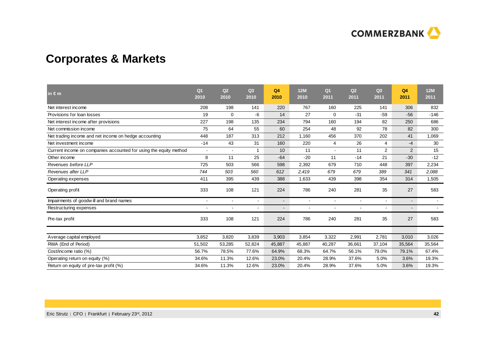

## **Corporates & Markets**

| in $\epsilon$ m                                                   | Q <sub>1</sub><br>2010   | Q2<br>2010               | Q3<br>2010     | Q <sub>4</sub><br>2010 | 12M<br>2010              | Q <sub>1</sub><br>2011 | Q2<br>2011     | Q <sub>3</sub><br>2011 | Q4<br>2011 | <b>12M</b><br>2011 |
|-------------------------------------------------------------------|--------------------------|--------------------------|----------------|------------------------|--------------------------|------------------------|----------------|------------------------|------------|--------------------|
| Net interest income                                               | 208                      | 198                      | 141            | 220                    | 767                      | 160                    | 225            | 141                    | 306        | 832                |
| Provisions for loan losses                                        | 19                       | $\mathbf 0$              | -6             | 14                     | 27                       | 0                      | $-31$          | $-59$                  | $-56$      | $-146$             |
| Net interest income after provisions                              | 227                      | 198                      | 135            | 234                    | 794                      | 160                    | 194            | 82                     | 250        | 686                |
| Net commission income                                             | 75                       | 64                       | 55             | 60                     | 254                      | 48                     | 92             | 78                     | 82         | 300                |
| Net trading income and net income on hedge accounting             | 448                      | 187                      | 313            | 212                    | 1,160                    | 456                    | 370            | 202                    | 41         | 1,069              |
| Net investment income                                             | $-14$                    | 43                       | 31             | 160                    | 220                      | 4                      | 26             | 4                      | -4         | 30                 |
| Current income on companies accounted for using the equity method | $\blacksquare$           |                          | 1              | 10                     | 11                       | $\blacksquare$         | 11             | $\overline{2}$         | 2          | 15                 |
| Other income                                                      | 8                        | 11                       | 25             | $-64$                  | $-20$                    | 11                     | $-14$          | 21                     | $-30$      | $-12$              |
| Revenues before LLP                                               | 725                      | 503                      | 566            | 598                    | 2,392                    | 679                    | 710            | 448                    | 397        | 2,234              |
| Revenues after LLP                                                | 744                      | 503                      | 560            | 612                    | 2,419                    | 679                    | 679            | 389                    | 341        | 2,088              |
| Operating expenses                                                | 411                      | 395                      | 439            | 388                    | 1,633                    | 439                    | 398            | 354                    | 314        | 1,505              |
| Operating profit                                                  | 333                      | 108                      | 121            | 224                    | 786                      | 240                    | 281            | 35                     | 27         | 583                |
| Impairments of goodwill and brand names                           | $\overline{\phantom{a}}$ | $\overline{\phantom{a}}$ | $\blacksquare$ | $\blacksquare$         | $\overline{\phantom{a}}$ | $\blacksquare$         | $\blacksquare$ | ٠                      | $\sim$     |                    |
| Restructuring expenses                                            |                          |                          | $\blacksquare$ |                        |                          | $\blacksquare$         | $\blacksquare$ |                        |            |                    |
| Pre-tax profit                                                    | 333                      | 108                      | 121            | 224                    | 786                      | 240                    | 281            | 35                     | 27         | 583                |
|                                                                   |                          |                          |                |                        |                          |                        |                |                        |            |                    |
| Average capital employed                                          | 3,852                    | 3,820                    | 3,839          | 3,903                  | 3,854                    | 3,322                  | 2,991          | 2,781                  | 3,010      | 3,026              |
| RWA (End of Period)                                               | 51,502                   | 53,285                   | 52,824         | 45,887                 | 45,887                   | 40,287                 | 36,661         | 37,104                 | 35,564     | 35,564             |
| Cost/income ratio (%)                                             | 56.7%                    | 78.5%                    | 77.6%          | 64.9%                  | 68.3%                    | 64.7%                  | 56.1%          | 79.0%                  | 79.1%      | 67.4%              |
| Operating return on equity (%)                                    | 34.6%                    | 11.3%                    | 12.6%          | 23.0%                  | 20.4%                    | 28.9%                  | 37.6%          | 5.0%                   | 3.6%       | 19.3%              |
| Return on equity of pre-tax profit (%)                            | 34.6%                    | 11.3%                    | 12.6%          | 23.0%                  | 20.4%                    | 28.9%                  | 37.6%          | 5.0%                   | 3.6%       | 19.3%              |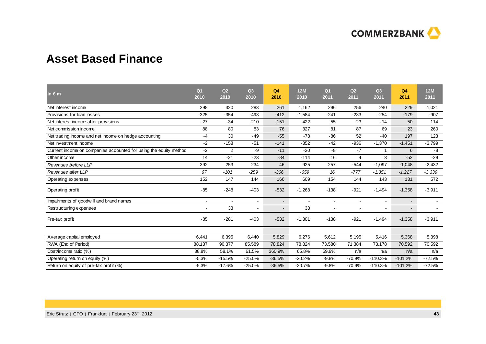

## **Asset Based Finance**

| in $\epsilon$ m                                                   | Q <sub>1</sub><br>2010 | Q2<br>2010 | Q <sub>3</sub><br>2010 | Q <sub>4</sub><br>2010   | 12M<br>2010 | Q <sub>1</sub><br>2011 | Q2<br>2011               | Q <sub>3</sub><br>2011 | Q <sub>4</sub><br>2011 | 12M<br>2011 |
|-------------------------------------------------------------------|------------------------|------------|------------------------|--------------------------|-------------|------------------------|--------------------------|------------------------|------------------------|-------------|
| Net interest income                                               | 298                    | 320        | 283                    | 261                      | 1,162       | 296                    | 256                      | 240                    | 229                    | 1,021       |
| Provisions for loan losses                                        | $-325$                 | $-354$     | $-493$                 | $-412$                   | $-1,584$    | $-241$                 | $-233$                   | $-254$                 | $-179$                 | $-907$      |
| Net interest income after provisions                              | $-27$                  | $-34$      | $-210$                 | $-151$                   | $-422$      | 55                     | 23                       | $-14$                  | 50                     | 114         |
| Net commission income                                             | 88                     | 80         | 83                     | 76                       | 327         | 81                     | 87                       | 69                     | 23                     | 260         |
| Net trading income and net income on hedge accounting             | -4                     | 30         | $-49$                  | $-55$                    | $-78$       | $-86$                  | 52                       | $-40$                  | 197                    | 123         |
| Net investment income                                             | $-2$                   | $-158$     | $-51$                  | $-141$                   | $-352$      | $-42$                  | $-936$                   | $-1,370$               | $-1,451$               | $-3,799$    |
| Current income on companies accounted for using the equity method | $-2$                   | 2          | -9                     | $-11$                    | $-20$       | -8                     | $-7$                     |                        | 6                      | -8          |
| Other income                                                      | 14                     | $-21$      | $-23$                  | $-84$                    | $-114$      | 16                     | 4                        | 3                      | $-52$                  | $-29$       |
| Revenues before LLP                                               | 392                    | 253        | 234                    | 46                       | 925         | 257                    | $-544$                   | $-1,097$               | $-1,048$               | $-2,432$    |
| Revenues after LLP                                                | 67                     | $-101$     | $-259$                 | $-366$                   | $-659$      | 16                     | $-777$                   | $-1,351$               | $-1,227$               | $-3,339$    |
| Operating expenses                                                | 152                    | 147        | 144                    | 166                      | 609         | 154                    | 144                      | 143                    | 131                    | 572         |
| Operating profit                                                  | $-85$                  | $-248$     | $-403$                 | $-532$                   | $-1,268$    | $-138$                 | $-921$                   | $-1,494$               | $-1,358$               | $-3,911$    |
| Impairments of goodwill and brand names                           | $\blacksquare$         |            | $\blacksquare$         | ۰.                       |             | $\overline{a}$         | $\sim$                   | $\blacksquare$         | $\sim$                 |             |
| Restructuring expenses                                            |                        | 33         | $\blacksquare$         | $\overline{\phantom{a}}$ | 33          |                        | $\overline{\phantom{a}}$ |                        | $\sim$                 |             |
| Pre-tax profit                                                    | $-85$                  | $-281$     | $-403$                 | $-532$                   | $-1,301$    | $-138$                 | $-921$                   | $-1,494$               | $-1,358$               | $-3,911$    |
|                                                                   |                        |            |                        |                          |             |                        |                          |                        |                        |             |
| Average capital employed                                          | 6,441                  | 6,395      | 6,440                  | 5,829                    | 6,276       | 5,612                  | 5,195                    | 5,416                  | 5,368                  | 5,398       |
| RWA (End of Period)                                               | 88,137                 | 90,377     | 85,589                 | 78,824                   | 78,824      | 73,580                 | 71,384                   | 73,178                 | 70,592                 | 70,592      |
| Cost/income ratio (%)                                             | 38.8%                  | 58.1%      | 61.5%                  | 360.9%                   | 65.8%       | 59.9%                  | n/a                      | n/a                    | n/a                    | n/a         |
| Operating return on equity (%)                                    | $-5.3%$                | $-15.5%$   | $-25.0%$               | $-36.5%$                 | $-20.2%$    | $-9.8%$                | $-70.9%$                 | $-110.3%$              | $-101.2%$              | $-72.5%$    |
| Return on equity of pre-tax profit (%)                            | $-5.3%$                | $-17.6%$   | $-25.0%$               | $-36.5%$                 | $-20.7%$    | $-9.8%$                | $-70.9%$                 | $-110.3%$              | $-101.2%$              | $-72.5%$    |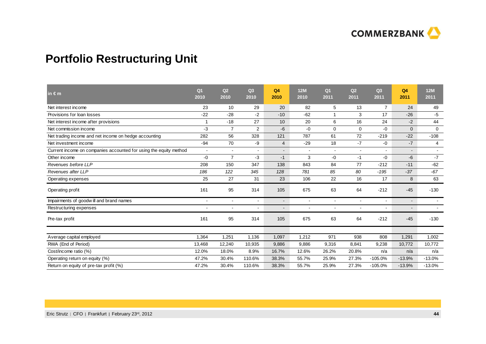

## **Portfolio Restructuring Unit**

| in $\epsilon$ m                                                   | Q <sub>1</sub><br>2010 | Q2<br>2010     | Q <sub>3</sub><br>2010   | Q <sub>4</sub><br>2010   | <b>12M</b><br>2010       | Q <sub>1</sub><br>2011       | Q2<br>2011     | Q <sub>3</sub><br>2011   | Q4<br>2011 | <b>12M</b><br>2011       |
|-------------------------------------------------------------------|------------------------|----------------|--------------------------|--------------------------|--------------------------|------------------------------|----------------|--------------------------|------------|--------------------------|
| Net interest income                                               | 23                     | 10             | 29                       | 20                       | 82                       | 5                            | 13             | $\overline{7}$           | 24         | 49                       |
| Provisions for loan losses                                        | $-22$                  | $-28$          | $-2$                     | $-10$                    | $-62$                    | 1                            | 3              | 17                       | $-26$      | -5                       |
| Net interest income after provisions                              | -1                     | $-18$          | 27                       | 10                       | 20                       | 6                            | 16             | 24                       | $-2$       | 44                       |
| Net commission income                                             | -3                     | $\overline{7}$ | $\overline{2}$           | $-6$                     | $-0$                     | 0                            | 0              | $-0$                     | $\Omega$   | 0                        |
| Net trading income and net income on hedge accounting             | 282                    | 56             | 328                      | 121                      | 787                      | 61                           | 72             | $-219$                   | $-22$      | $-108$                   |
| Net investment income                                             | $-94$                  | 70             | -9                       | $\overline{4}$           | $-29$                    | 18                           | $-7$           | $-0$                     | $-7$       | $\overline{4}$           |
| Current income on companies accounted for using the equity method | $\sim$                 | $\blacksquare$ |                          | $\overline{\phantom{a}}$ | $\overline{\phantom{a}}$ | $\overline{\phantom{a}}$     | $\blacksquare$ |                          |            | $\overline{\phantom{a}}$ |
| Other income                                                      | -0                     | $\overline{7}$ | $-3$                     | $-1$                     | 3                        | $-0$                         | $-1$           | $-0$                     | -6         | $-7$                     |
| Revenues before LLP                                               | 208                    | 150            | 347                      | 138                      | 843                      | 84                           | 77             | $-212$                   | $-11$      | $-62$                    |
| Revenues after LLP                                                | 186                    | 122            | 345                      | 128                      | 781                      | 85                           | 80             | $-195$                   | $-37$      | $-67$                    |
| Operating expenses                                                | 25                     | 27             | 31                       | 23                       | 106                      | 22                           | 16             | 17                       | 8          | 63                       |
| Operating profit                                                  | 161                    | 95             | 314                      | 105                      | 675                      | 63                           | 64             | $-212$                   | $-45$      | $-130$                   |
| Impairments of goodwill and brand names                           |                        | $\blacksquare$ | $\sim$                   | $\blacksquare$           |                          | $\blacksquare$               | $\blacksquare$ | $\sim$                   | $\sim$     |                          |
| Restructuring expenses                                            |                        | $\blacksquare$ | $\overline{\phantom{a}}$ | $\overline{\phantom{a}}$ |                          | $\qquad \qquad \blacksquare$ | $\blacksquare$ | $\overline{\phantom{a}}$ |            | $\overline{\phantom{a}}$ |
| Pre-tax profit                                                    | 161                    | 95             | 314                      | 105                      | 675                      | 63                           | 64             | $-212$                   | $-45$      | $-130$                   |
|                                                                   |                        |                |                          |                          |                          |                              |                |                          |            |                          |
| Average capital employed                                          | 1,364                  | 1,251          | 1,136                    | 1,097                    | 1,212                    | 971                          | 938            | 808                      | 1,291      | 1,002                    |
| RWA (End of Period)                                               | 13,468                 | 12,240         | 10,935                   | 9,886                    | 9,886                    | 9,316                        | 8,841          | 9,238                    | 10,772     | 10,772                   |
| Cost/income ratio (%)                                             | 12.0%                  | 18.0%          | 8.9%                     | 16.7%                    | 12.6%                    | 26.2%                        | 20.8%          | n/a                      | n/a        | n/a                      |
| Operating return on equity (%)                                    | 47.2%                  | 30.4%          | 110.6%                   | 38.3%                    | 55.7%                    | 25.9%                        | 27.3%          | $-105.0%$                | $-13.9%$   | $-13.0%$                 |
| Return on equity of pre-tax profit (%)                            | 47.2%                  | 30.4%          | 110.6%                   | 38.3%                    | 55.7%                    | 25.9%                        | 27.3%          | $-105.0%$                | $-13.9%$   | $-13.0%$                 |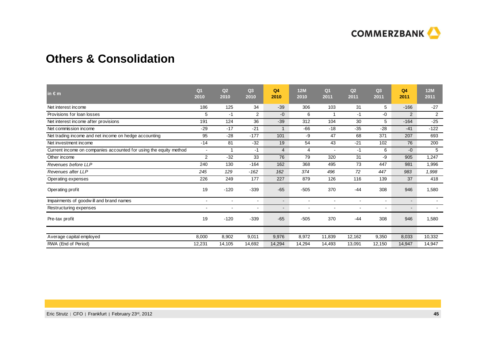

## **Others & Consolidation**

| in $\epsilon$ m                                                   | Q <sub>1</sub><br>2010   | Q2<br>2010               | Q <sub>3</sub><br>2010 | Q4<br>2010     | <b>12M</b><br>2010       | Q <sub>1</sub><br>2011   | Q2<br>2011     | Q3<br>2011     | Q <sub>4</sub><br>2011 | <b>12M</b><br>2011       |
|-------------------------------------------------------------------|--------------------------|--------------------------|------------------------|----------------|--------------------------|--------------------------|----------------|----------------|------------------------|--------------------------|
| Net interest income                                               | 186                      | 125                      | 34                     | $-39$          | 306                      | 103                      | 31             | 5              | $-166$                 | $-27$                    |
| Provisions for loan losses                                        | 5                        | $-1$                     | $\overline{2}$         | $-0$           | 6                        | 1                        | $-1$           | $-0$           | 2                      | 2                        |
| Net interest income after provisions                              | 191                      | 124                      | 36                     | $-39$          | 312                      | 104                      | 30             | 5              | $-164$                 | $-25$                    |
| Net commission income                                             | $-29$                    | $-17$                    | $-21$                  | $\mathbf 1$    | $-66$                    | $-18$                    | $-35$          | $-28$          | $-41$                  | $-122$                   |
| Net trading income and net income on hedge accounting             | 95                       | $-28$                    | $-177$                 | 101            | -9                       | 47                       | 68             | 371            | 207                    | 693                      |
| Net investment income                                             | $-14$                    | 81                       | $-32$                  | 19             | 54                       | 43                       | $-21$          | 102            | 76                     | 200                      |
| Current income on companies accounted for using the equity method | $\blacksquare$           | 1                        | $-1$                   | $\overline{4}$ | 4                        | $\blacksquare$           | $-1$           | 6              | $-0$                   | 5                        |
| Other income                                                      | 2                        | $-32$                    | 33                     | 76             | 79                       | 320                      | 31             | -9             | 905                    | 1,247                    |
| Revenues before LLP                                               | 240                      | 130                      | $-164$                 | 162            | 368                      | 495                      | 73             | 447            | 981                    | 1,996                    |
| Revenues after LLP                                                | 245                      | 129                      | $-162$                 | 162            | 374                      | 496                      | 72             | 447            | 983                    | 1,998                    |
| Operating expenses                                                | 226                      | 249                      | 177                    | 227            | 879                      | 126                      | 116            | 139            | 37                     | 418                      |
| Operating profit                                                  | 19                       | $-120$                   | $-339$                 | $-65$          | $-505$                   | 370                      | $-44$          | 308            | 946                    | 1,580                    |
| Impairments of goodwill and brand names                           | $\overline{\phantom{a}}$ | $\overline{\phantom{a}}$ | $\blacksquare$         | $\blacksquare$ | $\overline{\phantom{a}}$ | $\overline{\phantom{a}}$ | $\blacksquare$ | $\blacksquare$ | $\sim$                 | $\overline{\phantom{a}}$ |
| Restructuring expenses                                            | $\overline{\phantom{a}}$ | $\overline{\phantom{a}}$ | $\blacksquare$         | $\blacksquare$ |                          | $\overline{\phantom{a}}$ | $\blacksquare$ | $\blacksquare$ | $\sim$                 | $\sim$                   |
| Pre-tax profit                                                    | 19                       | $-120$                   | $-339$                 | $-65$          | $-505$                   | 370                      | $-44$          | 308            | 946                    | 1,580                    |
|                                                                   |                          |                          |                        |                |                          |                          |                |                |                        |                          |
| Average capital employed                                          | 8,000                    | 8,902                    | 9,011                  | 9,976          | 8,972                    | 11,839                   | 12,162         | 9,350          | 8,033                  | 10,332                   |
| RWA (End of Period)                                               | 12,231                   | 14,105                   | 14.692                 | 14,294         | 14,294                   | 14,493                   | 13.091         | 12,150         | 14,947                 | 14,947                   |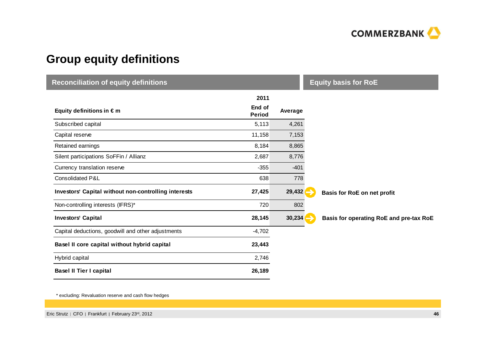

## **Group equity definitions**

I

| <b>Reconciliation of equity definitions</b>          | <b>Equity basis for RoE</b> |         |                                         |
|------------------------------------------------------|-----------------------------|---------|-----------------------------------------|
| Equity definitions in $\epsilon$ m                   | 2011<br>End of              | Average |                                         |
| Subscribed capital                                   | <b>Period</b><br>5,113      | 4,261   |                                         |
| Capital reserve                                      | 11,158                      | 7,153   |                                         |
| Retained earnings                                    | 8,184                       | 8,865   |                                         |
| Silent participations SoFFin / Allianz               | 2,687                       | 8,776   |                                         |
| Currency translation reserve                         | $-355$                      | $-401$  |                                         |
| Consolidated P&L                                     | 638                         | 778     |                                         |
| Investors' Capital without non-controlling interests | 27,425                      | 29,432  | Basis for RoE on net profit             |
| Non-controlling interests (IFRS)*                    | 720                         | 802     |                                         |
| <b>Investors' Capital</b>                            | 28,145                      | 30,234  | Basis for operating RoE and pre-tax RoE |
| Capital deductions, goodwill and other adjustments   | $-4,702$                    |         |                                         |
| Basel II core capital without hybrid capital         | 23,443                      |         |                                         |
| Hybrid capital                                       | 2,746                       |         |                                         |
| <b>Basel II Tier I capital</b>                       | 26,189                      |         |                                         |

\* excluding: Revaluation reserve and cash flow hedges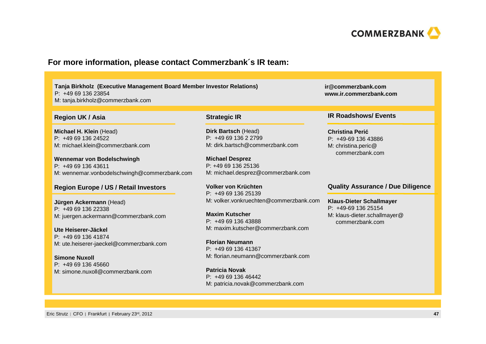

#### **For more information, please contact Commerzbank´s IR team:**

**Tanja Birkholz (Executive Management Board Member Investor Relations)**P: +49 69 136 23854M: tanja.birkholz@commerzbank.com

#### **Region UK / Asia**

**Michael H. Klein** (Head)P: +49 69 136 24522M: michael.klein@commerzbank.com

**Wennemar von Bodelschwingh**P: +49 69 136 43611M: wennemar.vonbodelschwingh@commerzbank.com

#### **Region Europe / US / Retail Investors**

**Jürgen Ackermann** (Head) P: +49 69 136 22338M: juergen.ackermann@commerzbank.com

**Ute Heiserer-Jäckel** P: +49 69 136 41874M: ute.heiserer-jaeckel@commerzbank.com

**Simone Nuxoll** P: +49 69 136 45660M: simone.nuxoll@commerzbank.com

#### **Strategic IR**

**Dirk Bartsch** (Head) P: +49 69 136 2 2799 M: dirk.bartsch@commerzbank.com

**Michael Desprez** P: +49 69 136 25136M: michael.desprez@commerzbank.com

**Volker von Krüchten** P: +49 69 136 25139 M: volker.vonkruechten@commerzbank.com

**Maxim Kutscher** P: +49 69 136 43888 M: maxim.kutscher@commerzbank.com

**Florian Neumann** P: +49 69 136 41367 M: florian.neumann@commerzbank.com

**Patricia Novak** P: +49 69 136 46442M: patricia.novak@commerzbank.com **ir@commerzbank.comwww.ir.commerzbank.com**

#### **IR Roadshows/ Events**

**Christina Perić** P: +49-69 136 43886M: christina.peric@commerzbank.com

#### **Quality Assurance / Due Diligence**

#### **Klaus-Dieter Schallmayer**

P: +49-69 136 25154 M: klaus-dieter.schallmayer@commerzbank.com

Eric Strutz | CFO | Frankfurt | February 23<sup>rd</sup>, 2012